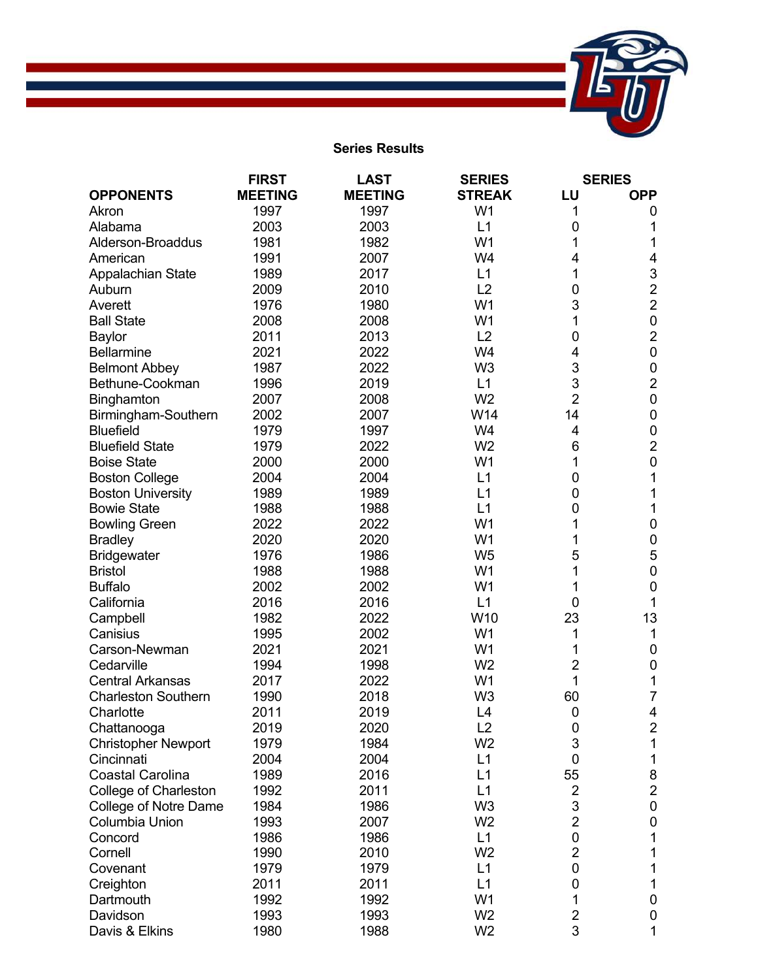

## **Series Results**

|                              | <b>FIRST</b>   | <b>LAST</b>    | <b>SERIES</b>  | <b>SERIES</b>  |                |
|------------------------------|----------------|----------------|----------------|----------------|----------------|
| <b>OPPONENTS</b>             | <b>MEETING</b> | <b>MEETING</b> | <b>STREAK</b>  | LU             | <b>OPP</b>     |
| Akron                        | 1997           | 1997           | W <sub>1</sub> | 1              | 0              |
| Alabama                      | 2003           | 2003           | L1             | 0              | 1              |
| Alderson-Broaddus            | 1981           | 1982           | W <sub>1</sub> | 1              | 1              |
| American                     | 1991           | 2007           | W4             | 4              | 4              |
| Appalachian State            | 1989           | 2017           | L1             | 1              | 3              |
| Auburn                       | 2009           | 2010           | L2             | 0              | $\overline{2}$ |
| Averett                      | 1976           | 1980           | W <sub>1</sub> | 3              | $\overline{2}$ |
| <b>Ball State</b>            | 2008           | 2008           | W <sub>1</sub> | 1              | 0              |
| <b>Baylor</b>                | 2011           | 2013           | L2             | 0              | $\overline{2}$ |
| <b>Bellarmine</b>            | 2021           | 2022           | W4             | 4              | 0              |
| <b>Belmont Abbey</b>         | 1987           | 2022           | W <sub>3</sub> | 3              | 0              |
| Bethune-Cookman              | 1996           | 2019           | L1             | 3              | $\overline{2}$ |
| Binghamton                   | 2007           | 2008           | W <sub>2</sub> | $\overline{2}$ | $\pmb{0}$      |
| Birmingham-Southern          | 2002           | 2007           | W14            | 14             | 0              |
| <b>Bluefield</b>             | 1979           | 1997           | W4             | 4              | $\pmb{0}$      |
| <b>Bluefield State</b>       | 1979           | 2022           | W <sub>2</sub> | 6              | $\overline{2}$ |
| <b>Boise State</b>           | 2000           | 2000           | W <sub>1</sub> | 1              | 0              |
| <b>Boston College</b>        | 2004           | 2004           | L1             | 0              | 1              |
| <b>Boston University</b>     | 1989           | 1989           | L1             | 0              | 1              |
| <b>Bowie State</b>           | 1988           | 1988           | L1             | 0              | 1              |
| <b>Bowling Green</b>         | 2022           | 2022           | W <sub>1</sub> |                | 0              |
| <b>Bradley</b>               | 2020           | 2020           | W <sub>1</sub> | 1              | 0              |
| <b>Bridgewater</b>           | 1976           | 1986           | W <sub>5</sub> | 5              | 5              |
| <b>Bristol</b>               | 1988           | 1988           | W <sub>1</sub> | 1              | 0              |
| <b>Buffalo</b>               | 2002           | 2002           | W <sub>1</sub> | 1              | 0              |
| California                   | 2016           | 2016           | L1             | 0              | 1              |
| Campbell                     | 1982           | 2022           | W10            | 23             | 13             |
| Canisius                     | 1995           | 2002           | W <sub>1</sub> | 1              | 1              |
| Carson-Newman                | 2021           | 2021           | W <sub>1</sub> | 1              | 0              |
| Cedarville                   | 1994           | 1998           | W <sub>2</sub> | $\overline{2}$ | 0              |
| <b>Central Arkansas</b>      | 2017           | 2022           | W <sub>1</sub> | 1              | 1              |
| <b>Charleston Southern</b>   | 1990           | 2018           | W <sub>3</sub> | 60             | 7              |
| Charlotte                    | 2011           | 2019           | L4             | $\mathbf 0$    | 4              |
| Chattanooga                  | 2019           | 2020           | L2             | $\pmb{0}$      | 2              |
| <b>Christopher Newport</b>   | 1979           | 1984           | W <sub>2</sub> | 3              | 1              |
| Cincinnati                   | 2004           | 2004           | L1             | 0              | 1              |
| <b>Coastal Carolina</b>      | 1989           | 2016           | L1             | 55             | 8              |
| <b>College of Charleston</b> | 1992           | 2011           | L1             | 2              | $\overline{2}$ |
| College of Notre Dame        | 1984           | 1986           | W <sub>3</sub> | 3              | 0              |
| Columbia Union               | 1993           | 2007           | W <sub>2</sub> | $\overline{2}$ | 0              |
| Concord                      | 1986           | 1986           | L1             | 0              | 1              |
| Cornell                      | 1990           | 2010           | W <sub>2</sub> | $\overline{2}$ |                |
| Covenant                     | 1979           | 1979           | L1             | 0              |                |
| Creighton                    | 2011           | 2011           | L1             | 0              | 1              |
| Dartmouth                    | 1992           | 1992           | W <sub>1</sub> | 1              | 0              |
| Davidson                     | 1993           | 1993           | W <sub>2</sub> | $\overline{2}$ | 0              |
| Davis & Elkins               | 1980           | 1988           | W <sub>2</sub> | 3              | 1              |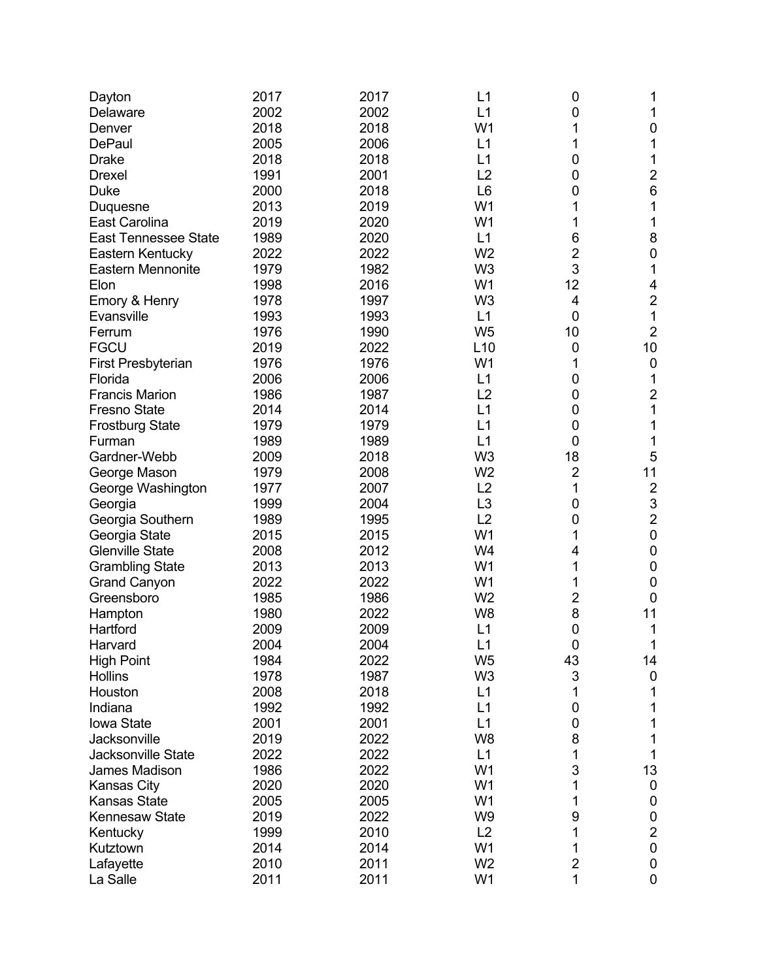| Dayton                      | 2017 | 2017         | L1             | 0                | 1                       |
|-----------------------------|------|--------------|----------------|------------------|-------------------------|
| Delaware                    | 2002 | 2002         | L1             | 0                | 1                       |
| Denver                      | 2018 | 2018         | W <sub>1</sub> |                  | 0                       |
| <b>DePaul</b>               | 2005 | 2006         | L1             | 1                | 1                       |
| <b>Drake</b>                | 2018 | 2018         | L1             | 0                | 1                       |
| <b>Drexel</b>               | 1991 | 2001         | L2             | 0                | $\overline{c}$          |
| Duke                        |      | 2018         | L <sub>6</sub> | 0                | $6\phantom{1}6$         |
|                             | 2000 |              |                |                  |                         |
| Duquesne                    | 2013 | 2019         | W <sub>1</sub> | 1                | $\mathbf 1$             |
| East Carolina               | 2019 | 2020         | W <sub>1</sub> | 1                | 1                       |
| <b>East Tennessee State</b> | 1989 | 2020         | L1             | 6                | 8                       |
| Eastern Kentucky            | 2022 | 2022         | W <sub>2</sub> | $\overline{2}$   | $\pmb{0}$               |
| <b>Eastern Mennonite</b>    | 1979 | 1982         | W <sub>3</sub> | 3                | 1                       |
| Elon                        | 1998 | 2016         | W <sub>1</sub> | 12               | 4                       |
| Emory & Henry               | 1978 | 1997         | W <sub>3</sub> | 4                | $\overline{c}$          |
| Evansville                  | 1993 | 1993         | L1             | $\mathbf 0$      | 1                       |
| Ferrum                      | 1976 | 1990         | W <sub>5</sub> | 10               | $\overline{2}$          |
| <b>FGCU</b>                 | 2019 | 2022         | L10            | 0                | 10                      |
| <b>First Presbyterian</b>   | 1976 | 1976         | W <sub>1</sub> | 1                | $\mathbf 0$             |
| Florida                     | 2006 | 2006         | L1             | 0                | 1                       |
| <b>Francis Marion</b>       | 1986 | 1987         | L2             | 0                | $\overline{2}$          |
| <b>Fresno State</b>         | 2014 | 2014         | L1             | 0                | 1                       |
| <b>Frostburg State</b>      | 1979 | 1979         | L1             | 0                | 1                       |
| Furman                      | 1989 | 1989         | L1             | 0                | 1                       |
| Gardner-Webb                | 2009 | 2018         | W <sub>3</sub> | 18               | 5                       |
| George Mason                | 1979 | 2008         | W <sub>2</sub> | $\overline{2}$   | 11                      |
| George Washington           | 1977 | 2007         | L2             | 1                | $\overline{2}$          |
| Georgia                     | 1999 | 2004         | L <sub>3</sub> | 0                | 3                       |
| Georgia Southern            | 1989 | 1995         | L2             | 0                | $\overline{2}$          |
| Georgia State               | 2015 | 2015         | W <sub>1</sub> | 1                | $\boldsymbol{0}$        |
| <b>Glenville State</b>      | 2008 | 2012         | W4             | 4                | $\boldsymbol{0}$        |
| <b>Grambling State</b>      | 2013 | 2013         | W <sub>1</sub> | 1                | $\pmb{0}$               |
| <b>Grand Canyon</b>         | 2022 | 2022         | W <sub>1</sub> | 1                | $\mathbf 0$             |
| Greensboro                  | 1985 | 1986         | W <sub>2</sub> | 2                | $\mathbf 0$             |
| Hampton                     | 1980 | 2022         | W <sub>8</sub> | 8                | 11                      |
| Hartford                    | 2009 | 2009         | L1             | 0                | 1                       |
| Harvard                     | 2004 | 2004         | L1             | $\boldsymbol{0}$ |                         |
|                             |      |              |                |                  | 1                       |
| <b>High Point</b>           | 1984 | 2022<br>1987 | W <sub>5</sub> | 43               | 14                      |
| <b>Hollins</b><br>Houston   | 1978 |              | W <sub>3</sub> | 3                | 0                       |
|                             | 2008 | 2018         | L1             | 1                | 1                       |
| Indiana                     | 1992 | 1992         | L1             | 0                | 1                       |
| <b>lowa State</b>           | 2001 | 2001         | L1             | 0                | 1                       |
| Jacksonville                | 2019 | 2022         | W <sub>8</sub> | 8                | 1                       |
| Jacksonville State          | 2022 | 2022         | L1             | 1                | 1                       |
| James Madison               | 1986 | 2022         | W <sub>1</sub> | 3                | 13                      |
| <b>Kansas City</b>          | 2020 | 2020         | W <sub>1</sub> |                  | 0                       |
| <b>Kansas State</b>         | 2005 | 2005         | W <sub>1</sub> | 1                | 0                       |
| <b>Kennesaw State</b>       | 2019 | 2022         | W <sub>9</sub> | 9                | 0                       |
| Kentucky                    | 1999 | 2010         | L2             | 1                | $\overline{\mathbf{c}}$ |
| Kutztown                    | 2014 | 2014         | W <sub>1</sub> | 1                | 0                       |
| Lafayette                   | 2010 | 2011         | W <sub>2</sub> | $\overline{c}$   | 0                       |
| La Salle                    | 2011 | 2011         | W <sub>1</sub> | 1                | 0                       |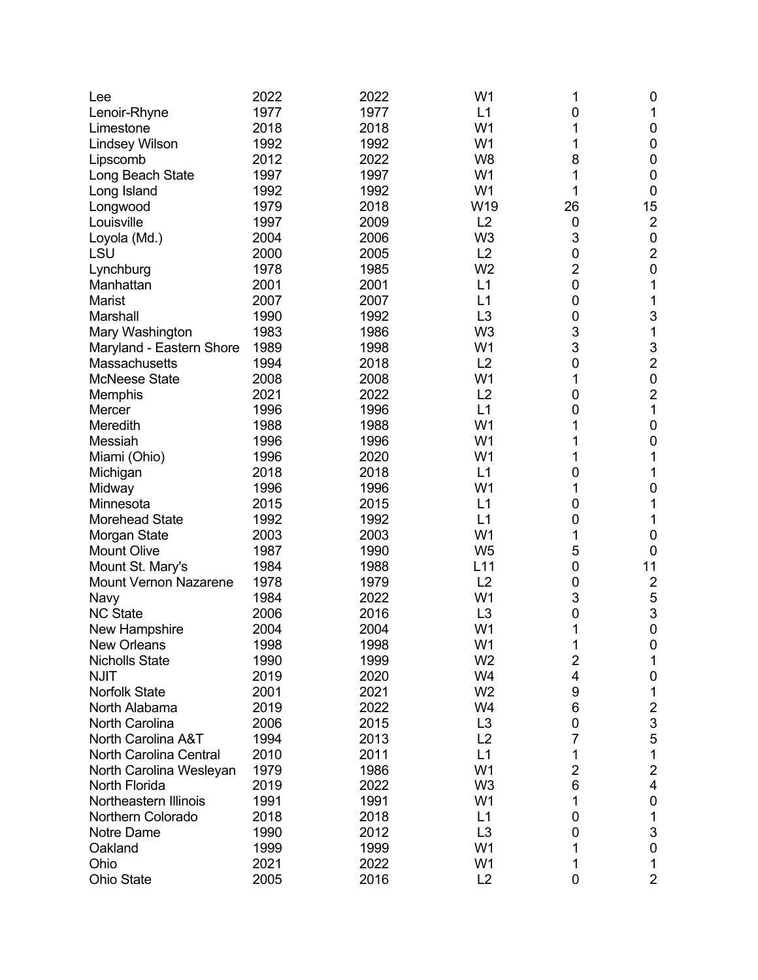| Lee                          | 2022 | 2022 | W1             | 1              | 0                       |
|------------------------------|------|------|----------------|----------------|-------------------------|
| Lenoir-Rhyne                 | 1977 | 1977 | L1             | 0              | 1                       |
| Limestone                    | 2018 | 2018 | W <sub>1</sub> | 1              | $\mathbf 0$             |
| <b>Lindsey Wilson</b>        | 1992 | 1992 | W <sub>1</sub> | 1              | $\mathbf 0$             |
| Lipscomb                     | 2012 | 2022 | W <sub>8</sub> | 8              | $\boldsymbol{0}$        |
| Long Beach State             | 1997 | 1997 | W <sub>1</sub> |                | $\mathbf 0$             |
| Long Island                  | 1992 | 1992 | W <sub>1</sub> | 1              | $\boldsymbol{0}$        |
| Longwood                     | 1979 | 2018 | W19            | 26             | 15                      |
| Louisville                   | 1997 | 2009 | L2             | 0              | $\overline{2}$          |
| Loyola (Md.)                 | 2004 | 2006 | W <sub>3</sub> | 3              | $\boldsymbol{0}$        |
| LSU                          | 2000 | 2005 | L2             | 0              | $\overline{c}$          |
| Lynchburg                    | 1978 | 1985 | W <sub>2</sub> | 2              | $\pmb{0}$               |
| Manhattan                    | 2001 | 2001 | L1             | $\mathbf 0$    | 1                       |
| Marist                       | 2007 | 2007 | L1             | $\mathbf 0$    | 1                       |
| Marshall                     | 1990 | 1992 | L <sub>3</sub> | 0              | 3                       |
| Mary Washington              | 1983 | 1986 | W <sub>3</sub> | 3              | 1                       |
| Maryland - Eastern Shore     | 1989 | 1998 | W <sub>1</sub> | 3              | 3                       |
| Massachusetts                | 1994 | 2018 | L2             | 0              | $\overline{2}$          |
| <b>McNeese State</b>         | 2008 | 2008 | W <sub>1</sub> | 1              | $\boldsymbol{0}$        |
| Memphis                      | 2021 | 2022 | L2             | 0              | $\overline{2}$          |
| Mercer                       | 1996 | 1996 | L1             | 0              | 1                       |
| Meredith                     | 1988 | 1988 | W <sub>1</sub> | 1              | $\pmb{0}$               |
| Messiah                      | 1996 | 1996 | W <sub>1</sub> | 1              | 0                       |
| Miami (Ohio)                 | 1996 | 2020 | W <sub>1</sub> | 1              | 1                       |
| Michigan                     | 2018 | 2018 | L1             | 0              | 1                       |
| Midway                       | 1996 | 1996 | W1             | 1              | $\pmb{0}$               |
| Minnesota                    | 2015 | 2015 | L1             | 0              | 1                       |
| <b>Morehead State</b>        | 1992 | 1992 | L1             | 0              | 1                       |
| Morgan State                 | 2003 | 2003 | W <sub>1</sub> | 1              | 0                       |
| Mount Olive                  | 1987 | 1990 | W <sub>5</sub> | 5              | $\mathbf 0$             |
| Mount St. Mary's             | 1984 | 1988 | L11            | 0              | 11                      |
| <b>Mount Vernon Nazarene</b> | 1978 | 1979 | L2             | 0              | $\overline{2}$          |
| Navy                         | 1984 | 2022 | W <sub>1</sub> | 3              | $\sqrt{5}$              |
| <b>NC State</b>              | 2006 | 2016 | L <sub>3</sub> | $\mathbf 0$    | 3                       |
| New Hampshire                | 2004 | 2004 | W <sub>1</sub> | 1              | $\mathbf 0$             |
| New Orleans                  | 1998 | 1998 | W <sub>1</sub> | 1              | $\pmb{0}$               |
| <b>Nicholls State</b>        | 1990 | 1999 | W <sub>2</sub> | $\overline{2}$ | 1                       |
| <b>NJIT</b>                  | 2019 | 2020 | W4             | 4              | 0                       |
| Norfolk State                | 2001 | 2021 | W <sub>2</sub> | 9              | 1                       |
| North Alabama                | 2019 | 2022 | W4             | 6              | $\overline{\mathbf{c}}$ |
| <b>North Carolina</b>        | 2006 | 2015 | L <sub>3</sub> | 0              | 3                       |
| North Carolina A&T           | 1994 | 2013 | L2             | 7              | 5                       |
| North Carolina Central       | 2010 | 2011 | L1             | 1              | $\mathbf{1}$            |
| North Carolina Wesleyan      | 1979 | 1986 | W <sub>1</sub> | $\overline{2}$ | $\overline{c}$          |
| North Florida                | 2019 | 2022 | W <sub>3</sub> | 6              | $\overline{\mathbf{4}}$ |
| Northeastern Illinois        | 1991 | 1991 | W1             | 1              | $\boldsymbol{0}$        |
| Northern Colorado            | 2018 | 2018 | L1             | 0              | 1                       |
| Notre Dame                   | 1990 | 2012 | L <sub>3</sub> | 0              | 3                       |
| Oakland                      | 1999 | 1999 | W <sub>1</sub> | 1              | 0                       |
| Ohio                         | 2021 | 2022 | W1             | 1              | 1                       |
| <b>Ohio State</b>            | 2005 | 2016 | L2             | 0              | $\overline{2}$          |
|                              |      |      |                |                |                         |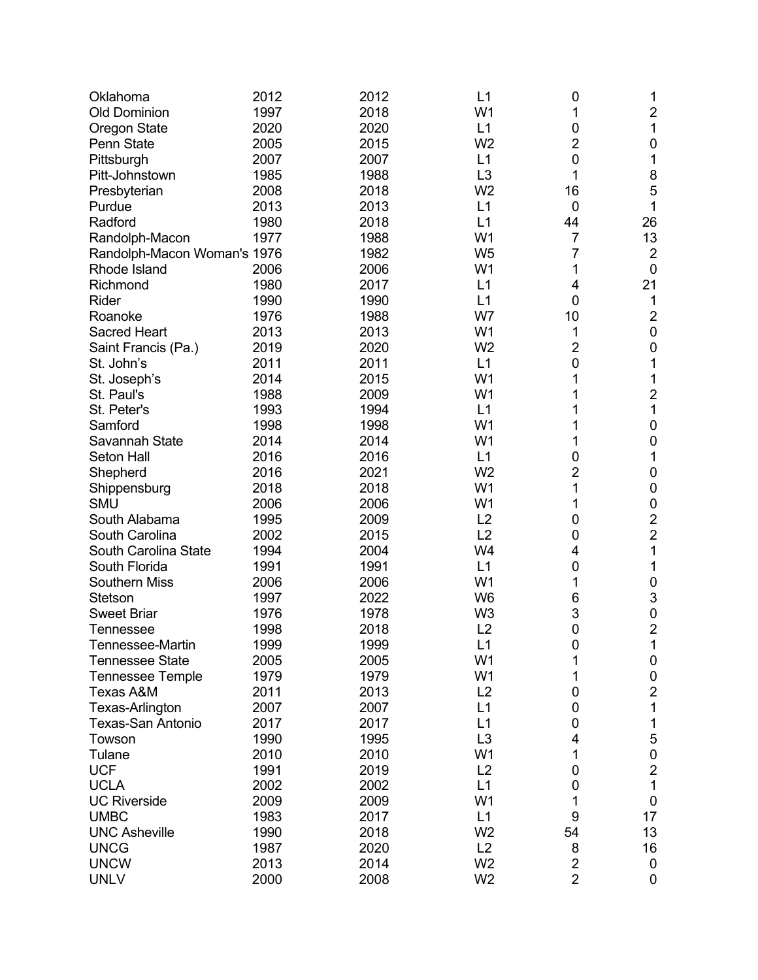| Oklahoma                    | 2012 | 2012 | L1             | 0              | 1              |
|-----------------------------|------|------|----------------|----------------|----------------|
| <b>Old Dominion</b>         | 1997 | 2018 | W <sub>1</sub> | 1              | $\overline{c}$ |
| <b>Oregon State</b>         | 2020 | 2020 | L1             | 0              | 1              |
| <b>Penn State</b>           | 2005 | 2015 | W <sub>2</sub> | 2              | 0              |
| Pittsburgh                  | 2007 | 2007 | L1             | 0              | 1              |
| Pitt-Johnstown              | 1985 | 1988 | L <sub>3</sub> | 1              | 8              |
| Presbyterian                | 2008 | 2018 | W <sub>2</sub> | 16             | 5              |
| Purdue                      | 2013 | 2013 | L1             | 0              | 1              |
| Radford                     | 1980 | 2018 | L1             | 44             | 26             |
| Randolph-Macon              | 1977 | 1988 | W <sub>1</sub> | $\overline{7}$ | 13             |
| Randolph-Macon Woman's 1976 |      | 1982 | W <sub>5</sub> | 7              | $\overline{2}$ |
| Rhode Island                | 2006 | 2006 | W <sub>1</sub> | 1              | $\mathbf 0$    |
| Richmond                    | 1980 | 2017 | L1             | 4              | 21             |
| Rider                       | 1990 | 1990 | L1             | 0              | 1              |
| Roanoke                     | 1976 | 1988 | W7             | 10             | $\overline{2}$ |
| <b>Sacred Heart</b>         | 2013 | 2013 | W <sub>1</sub> | 1              | $\mathbf 0$    |
| Saint Francis (Pa.)         | 2019 | 2020 | W <sub>2</sub> | $\overline{2}$ | 0              |
| St. John's                  | 2011 | 2011 | L1             | 0              | 1              |
| St. Joseph's                | 2014 | 2015 | W <sub>1</sub> | 1              | 1              |
| St. Paul's                  | 1988 | 2009 | W <sub>1</sub> |                | $\overline{2}$ |
| St. Peter's                 | 1993 | 1994 | L1             |                | 1              |
| Samford                     | 1998 | 1998 | W <sub>1</sub> | 1              | 0              |
| Savannah State              | 2014 | 2014 | W <sub>1</sub> | 1              | $\mathbf 0$    |
| Seton Hall                  | 2016 | 2016 | L1             | 0              | 1              |
| Shepherd                    | 2016 | 2021 | W <sub>2</sub> | $\overline{c}$ | $\mathbf 0$    |
| Shippensburg                | 2018 | 2018 | W <sub>1</sub> | 1              | 0              |
| <b>SMU</b>                  | 2006 | 2006 | W <sub>1</sub> | 1              | 0              |
| South Alabama               | 1995 | 2009 | L2             | 0              | $\overline{2}$ |
| South Carolina              | 2002 | 2015 | L2             | 0              | $\overline{2}$ |
| South Carolina State        | 1994 | 2004 | W4             | 4              | 1              |
| South Florida               | 1991 | 1991 | L1             | 0              | 1              |
|                             |      |      |                |                |                |
| <b>Southern Miss</b>        | 2006 | 2006 | W <sub>1</sub> | 1              | $\mathbf 0$    |
| Stetson                     | 1997 | 2022 | W <sub>6</sub> | 6              | 3              |
| <b>Sweet Briar</b>          | 1976 | 1978 | W <sub>3</sub> | 3              | $\pmb{0}$      |
| <b>Tennessee</b>            | 1998 | 2018 | L2             | 0              | $\overline{2}$ |
| Tennessee-Martin            | 1999 | 1999 | L1             | 0              | 1              |
| <b>Tennessee State</b>      | 2005 | 2005 | W <sub>1</sub> | 1              | 0              |
| <b>Tennessee Temple</b>     | 1979 | 1979 | W1             | 1              | 0              |
| Texas A&M                   | 2011 | 2013 | L2             | 0              | $\overline{2}$ |
| Texas-Arlington             | 2007 | 2007 | L1             | 0              | 1              |
| Texas-San Antonio           | 2017 | 2017 | L1             | 0              | $\mathbf{1}$   |
| Towson                      | 1990 | 1995 | L <sub>3</sub> | 4              | 5              |
| Tulane                      | 2010 | 2010 | W <sub>1</sub> | 1              | $\pmb{0}$      |
| <b>UCF</b>                  | 1991 | 2019 | L2             | 0              | $\overline{2}$ |
| <b>UCLA</b>                 | 2002 | 2002 | L1             | 0              | $\mathbf{1}$   |
| <b>UC Riverside</b>         | 2009 | 2009 | W <sub>1</sub> | 1              | $\pmb{0}$      |
| <b>UMBC</b>                 | 1983 | 2017 | L1             | 9              | 17             |
| <b>UNC Asheville</b>        | 1990 | 2018 | W <sub>2</sub> | 54             | 13             |
| <b>UNCG</b>                 | 1987 | 2020 | L2             | 8              | 16             |
| <b>UNCW</b>                 | 2013 | 2014 | W <sub>2</sub> | $\overline{2}$ | 0              |
| <b>UNLV</b>                 | 2000 | 2008 | W <sub>2</sub> | $\overline{2}$ | 0              |